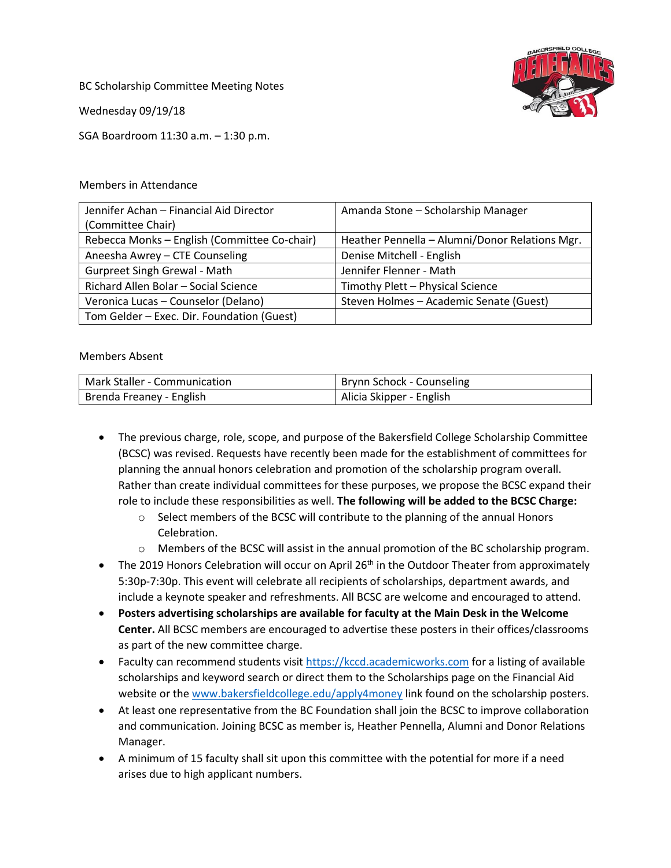BC Scholarship Committee Meeting Notes

Wednesday 09/19/18

SGA Boardroom 11:30 a.m. – 1:30 p.m.

## Members in Attendance

| Jennifer Achan - Financial Aid Director      | Amanda Stone - Scholarship Manager             |
|----------------------------------------------|------------------------------------------------|
| (Committee Chair)                            |                                                |
| Rebecca Monks - English (Committee Co-chair) | Heather Pennella - Alumni/Donor Relations Mgr. |
| Aneesha Awrey - CTE Counseling               | Denise Mitchell - English                      |
| <b>Gurpreet Singh Grewal - Math</b>          | Jennifer Flenner - Math                        |
| Richard Allen Bolar - Social Science         | Timothy Plett - Physical Science               |
| Veronica Lucas - Counselor (Delano)          | Steven Holmes - Academic Senate (Guest)        |
| Tom Gelder - Exec. Dir. Foundation (Guest)   |                                                |

## Members Absent

| Mark Staller - Communication | Brynn Schock - Counseling |
|------------------------------|---------------------------|
| Brenda Freaney - English     | Alicia Skipper - English  |

- The previous charge, role, scope, and purpose of the Bakersfield College Scholarship Committee (BCSC) was revised. Requests have recently been made for the establishment of committees for planning the annual honors celebration and promotion of the scholarship program overall. Rather than create individual committees for these purposes, we propose the BCSC expand their role to include these responsibilities as well. **The following will be added to the BCSC Charge:** 
	- $\circ$  Select members of the BCSC will contribute to the planning of the annual Honors Celebration.
	- o Members of the BCSC will assist in the annual promotion of the BC scholarship program.
- $\bullet$  The 2019 Honors Celebration will occur on April 26<sup>th</sup> in the Outdoor Theater from approximately 5:30p-7:30p. This event will celebrate all recipients of scholarships, department awards, and include a keynote speaker and refreshments. All BCSC are welcome and encouraged to attend.
- **Posters advertising scholarships are available for faculty at the Main Desk in the Welcome Center.** All BCSC members are encouraged to advertise these posters in their offices/classrooms as part of the new committee charge.
- Faculty can recommend students visit [https://kccd.academicworks.com](https://kccd.academicworks.com/) for a listing of available scholarships and keyword search or direct them to the Scholarships page on the Financial Aid website or the [www.bakersfieldcollege.edu/apply4money](http://www.bakersfieldcollege.edu/apply4money) link found on the scholarship posters.
- At least one representative from the BC Foundation shall join the BCSC to improve collaboration and communication. Joining BCSC as member is, Heather Pennella, Alumni and Donor Relations Manager.
- A minimum of 15 faculty shall sit upon this committee with the potential for more if a need arises due to high applicant numbers.